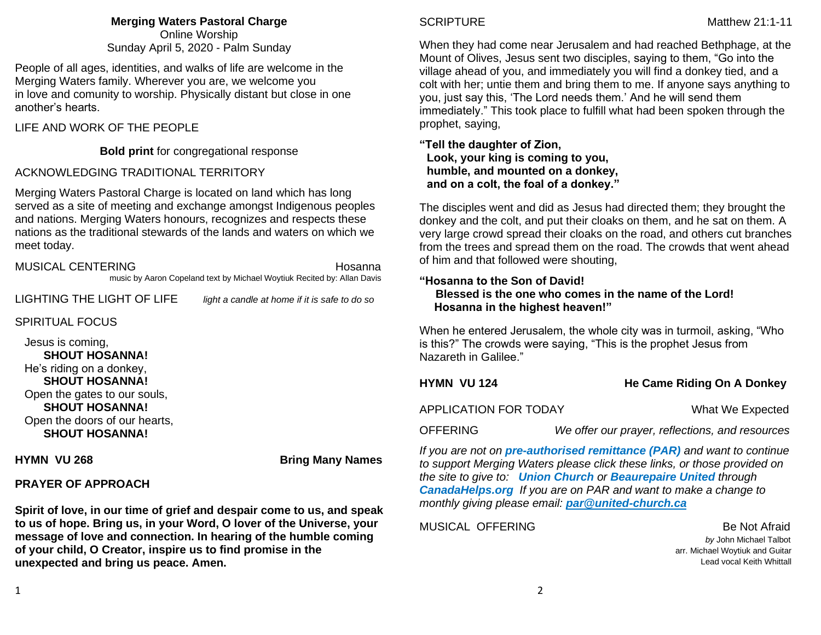**Merging Waters Pastoral Charge** Online Worship Sunday April 5, 2020 - Palm Sunday

People of all ages, identities, and walks of life are welcome in the Merging Waters family. Wherever you are, we welcome you in love and comunity to worship. Physically distant but close in one another's hearts.

### LIFE AND WORK OF THE PEOPLE

## **Bold print** for congregational response

### ACKNOWLEDGING TRADITIONAL TERRITORY

Merging Waters Pastoral Charge is located on land which has long served as a site of meeting and exchange amongst Indigenous peoples and nations. Merging Waters honours, recognizes and respects these nations as the traditional stewards of the lands and waters on which we meet today.

| MUSICAL CENTERING | Hosanna                                                                 |
|-------------------|-------------------------------------------------------------------------|
|                   | music by Aaron Copeland text by Michael Woytiuk Recited by: Allan Davis |

LIGHTING THE LIGHT OF LIFE *light a candle at home if it is safe to do so*

# SPIRITUAL FOCUS

 Jesus is coming, **SHOUT HOSANNA!** He's riding on a donkey,  **SHOUT HOSANNA!** Open the gates to our souls, **SHOUT HOSANNA!** Open the doors of our hearts, **SHOUT HOSANNA!**

**HYMN VU 268 Bring Many Names** 

## **PRAYER OF APPROACH**

**Spirit of love, in our time of grief and despair come to us, and speak to us of hope. Bring us, in your Word, O lover of the Universe, your message of love and connection. In hearing of the humble coming of your child, O Creator, inspire us to find promise in the unexpected and bring us peace. Amen.**

When they had come near Jerusalem and had reached Bethphage, at the Mount of Olives, Jesus sent two disciples, saying to them, "Go into the village ahead of you, and immediately you will find a donkey tied, and a colt with her; untie them and bring them to me. If anyone says anything to you, just say this, 'The Lord needs them.' And he will send them immediately." This took place to fulfill what had been spoken through the prophet, saying,

**"Tell the daughter of Zion, Look, your king is coming to you, humble, and mounted on a donkey, and on a colt, the foal of a donkey."**

The disciples went and did as Jesus had directed them; they brought the donkey and the colt, and put their cloaks on them, and he sat on them. A very large crowd spread their cloaks on the road, and others cut branches from the trees and spread them on the road. The crowds that went ahead of him and that followed were shouting,

### **"Hosanna to the Son of David! Blessed is the one who comes in the name of the Lord! Hosanna in the highest heaven!"**

When he entered Jerusalem, the whole city was in turmoil, asking, "Who is this?" The crowds were saying, "This is the prophet Jesus from Nazareth in Galilee."

**HYMN VU 124** He Came Riding On A Donkey

APPLICATION FOR TODAY What We Expected

OFFERING *We offer our prayer, reflections, and resources*

*If you are not on pre-authorised [remittance \(PAR\)](http://mergingwaters.ca/mt-content/uploads/2020/03/form_par-authorization.pdf) and want to continue to support Merging Waters please click these links, or those provided on the site to give to: [Union Church](https://www.canadahelps.org/en/charities/union-church-ste-anne-de-bellevue/) or [Beaurepaire United](https://www.canadahelps.org/en/charities/beaurepaire-united-church/) through [CanadaHelps.org](http://www.canadahelps.org/) If you are on PAR and want to make a change to monthly giving please email: [par@united-church.ca](file:///C:/Users/Merging%20Waters%20Rev/Downloads/past%20services/April%205th%202020/par@united-church.ca)*

MUSICAL OFFERING Be Not Afraid

 *by* John Michael Talbot arr. Michael Woytiuk and Guitar Lead vocal Keith Whittall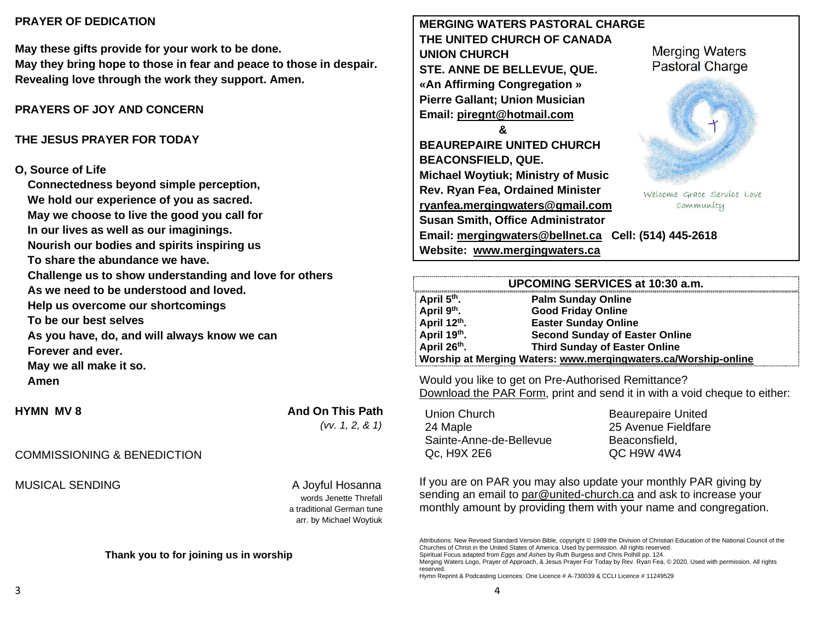## **PRAYER OF DEDICATION**

**May these gifts provide for your work to be done. May they bring hope to those in fear and peace to those in despair. Revealing love through the work they support. Amen.**

# **PRAYERS OF JOY AND CONCERN**

### **THE JESUS PRAYER FOR TODAY**

#### **O, Source of Life**

**Connectedness beyond simple perception, We hold our experience of you as sacred. May we choose to live the good you call for In our lives as well as our imaginings. Nourish our bodies and spirits inspiring us To share the abundance we have. Challenge us to show understanding and love for others As we need to be understood and loved. Help us overcome our shortcomings To be our best selves As you have, do, and will always know we can Forever and ever. May we all make it so. Amen**

# **HYMN** MV 8 **And On This Path**  *(vv. 1, 2, & 1)*

## COMMISSIONING & BENEDICTION

MUSICAL SENDING A Joyful Hosanna

 words Jenette Threfall a traditional German tune arr. by Michael Woytiuk

#### **Thank you to for joining us in worship**

**MERGING WATERS PASTORAL CHARGE THE UNITED CHURCH OF CANADA UNION CHURCH STE. ANNE DE BELLEVUE, QUE. «An Affirming Congregation » Pierre Gallant; Union Musician Email: [piregnt@hotmail.com](mailto:piregnt@hotmail.com) &**

**BEAUREPAIRE UNITED CHURCH BEACONSFIELD, QUE. Michael Woytiuk; Ministry of Music Rev. Ryan Fea, Ordained Minister [ryanfea.mergingwaters@gmail.com](mailto:ryanfea.mergingwaters@gmail.com)  Susan Smith, Office Administrator Email: [mergingwaters@bellnet.ca](mailto:mergingwaters@bellnet.ca) Cell: (514) 445-2618 Website: [www.mergingwaters.ca](http://www.mergingwaters.ca/)**

**Merging Waters Pastoral Charge** 



Welcome Grace Service Love community

|                         | UPCOMING SERVICES at 10:30 a.m.                                |
|-------------------------|----------------------------------------------------------------|
| April 5 <sup>th</sup> . | <b>Palm Sunday Online</b>                                      |
| April 9th.              | <b>Good Friday Online</b>                                      |
| April 12th.             | <b>Easter Sunday Online</b>                                    |
| April 19th.             | <b>Second Sunday of Easter Online</b>                          |
| April 26th.             | <b>Third Sunday of Easter Online</b>                           |
|                         | Worship at Merging Waters: www.mergingwaters.ca/Worship-online |

Would you like to get on Pre-Authorised Remittance? [Download the PAR Form,](http://mergingwaters.ca/mt-content/uploads/2020/03/form_par-authorization.pdf) print and send it in with a void cheque to either:

Union Church 24 Maple Sainte-Anne-de-Bellevue Qc, H9X 2E6

Beaurepaire United 25 Avenue Fieldfare Beaconsfield, QC H9W 4W4

If you are on PAR you may also update your monthly PAR giving by sending an email to [par@united-church.ca](mailto:par@united-church.ca) and ask to increase your monthly amount by providing them with your name and congregation.

Attributions: New Revised Standard Version Bible, copyright © 1989 the Division of Christian Education of the National Council of the Churches of Christ in the United States of America. Used by permission. All rights reserved.

Spiritual Focus adapted from *Eggs and Ashes* by Ruth Burgess and Chris Polhill pp. 124.

Merging Waters Logo, Prayer of Approach, & Jesus Prayer For Today by Rev. Ryan Fea, © 2020. Used with permission. All rights reserved.

Hymn Reprint & Podcasting Licences: One Licence # A-730039 & CCLI Licence # 11249529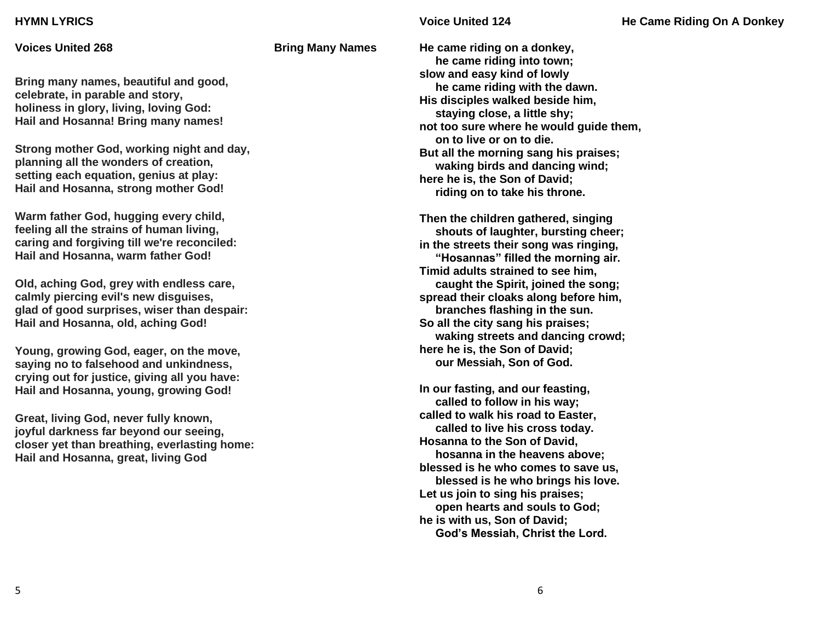#### **HYMN LYRICS**

**Voices United 268 Bring Many Names** 

**Bring many names, beautiful and good, celebrate, in parable and story, holiness in glory, living, loving God: Hail and Hosanna! Bring many names!**

**Strong mother God, working night and day, planning all the wonders of creation, setting each equation, genius at play: Hail and Hosanna, strong mother God!**

**Warm father God, hugging every child, feeling all the strains of human living, caring and forgiving till we're reconciled: Hail and Hosanna, warm father God!**

**Old, aching God, grey with endless care, calmly piercing evil's new disguises, glad of good surprises, wiser than despair: Hail and Hosanna, old, aching God!**

**Young, growing God, eager, on the move, saying no to falsehood and unkindness, crying out for justice, giving all you have: Hail and Hosanna, young, growing God!**

**Great, living God, never fully known, joyful darkness far beyond our seeing, closer yet than breathing, everlasting home: Hail and Hosanna, great, living God**

**He came riding on a donkey, he came riding into town; slow and easy kind of lowly he came riding with the dawn. His disciples walked beside him, staying close, a little shy; not too sure where he would guide them, on to live or on to die. But all the morning sang his praises; waking birds and dancing wind; here he is, the Son of David; riding on to take his throne.**

**Then the children gathered, singing shouts of laughter, bursting cheer; in the streets their song was ringing, "Hosannas" filled the morning air. Timid adults strained to see him, caught the Spirit, joined the song; spread their cloaks along before him, branches flashing in the sun. So all the city sang his praises; waking streets and dancing crowd; here he is, the Son of David; our Messiah, Son of God.**

**In our fasting, and our feasting, called to follow in his way; called to walk his road to Easter, called to live his cross today. Hosanna to the Son of David, hosanna in the heavens above; blessed is he who comes to save us, blessed is he who brings his love. Let us join to sing his praises; open hearts and souls to God; he is with us, Son of David; God's Messiah, Christ the Lord.**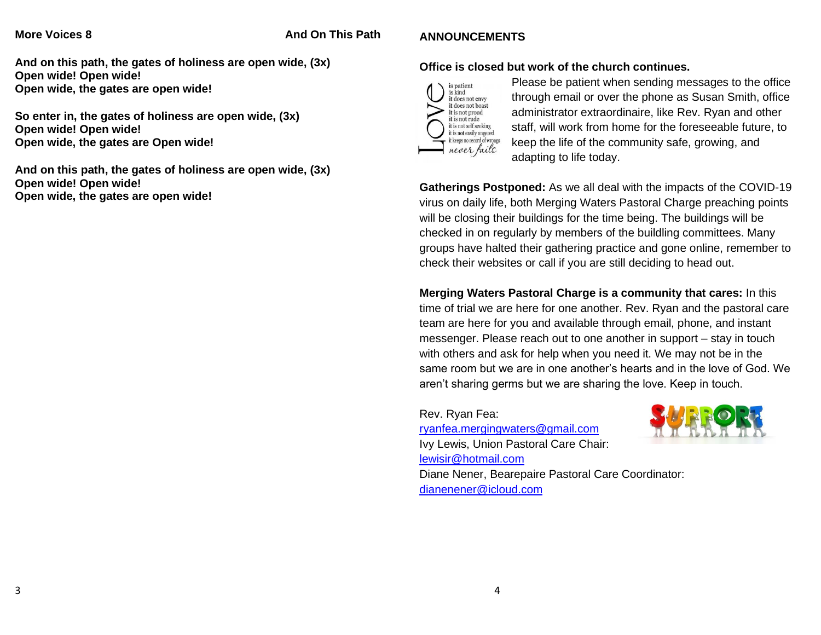### **More Voices 8 And On This Path**

# **ANNOUNCEMENTS**

**And on this path, the gates of holiness are open wide, (3x) Open wide! Open wide! Open wide, the gates are open wide!**

**So enter in, the gates of holiness are open wide, (3x) Open wide! Open wide! Open wide, the gates are Open wide!**

**And on this path, the gates of holiness are open wide, (3x) Open wide! Open wide! Open wide, the gates are open wide!**

## **Office is closed but work of the church continues.**



Please be patient when sending messages to the office through email or over the phone as Susan Smith, office administrator extraordinaire, like Rev. Ryan and other staff, will work from home for the foreseeable future, to keep the life of the community safe, growing, and adapting to life today.

**Gatherings Postponed:** As we all deal with the impacts of the COVID-19 virus on daily life, both Merging Waters Pastoral Charge preaching points will be closing their buildings for the time being. The buildings will be checked in on regularly by members of the buildling committees. Many groups have halted their gathering practice and gone online, remember to check their websites or call if you are still deciding to head out.

# **Merging Waters Pastoral Charge is a community that cares:** In this

time of trial we are here for one another. Rev. Ryan and the pastoral care team are here for you and available through email, phone, and instant messenger. Please reach out to one another in support – stay in touch with others and ask for help when you need it. We may not be in the same room but we are in one another's hearts and in the love of God. We aren't sharing germs but we are sharing the love. Keep in touch.

Rev. Ryan Fea:

[ryanfea.mergingwaters@gmail.com](mailto:ryanfea.mergingwaters@gmail.com) Ivy Lewis, Union Pastoral Care Chair: [lewisir@hotmail.com](mailto:lewisir@hotmail.com)



Diane Nener, Bearepaire Pastoral Care Coordinator: [dianenener@icloud.com](mailto:dianenener@icloud.com)